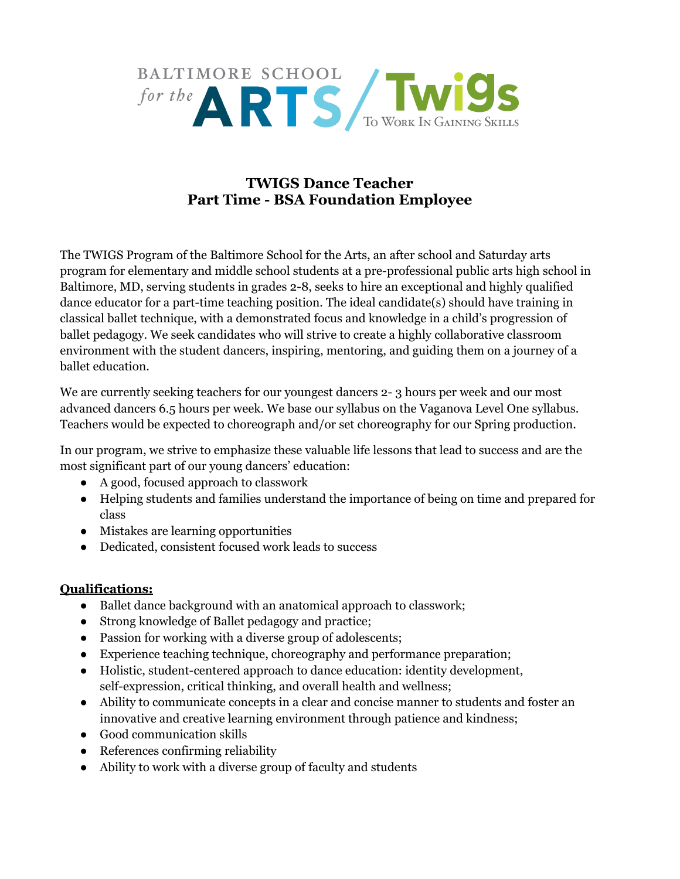

## **TWIGS Dance Teacher Part Time - BSA Foundation Employee**

The TWIGS Program of the Baltimore School for the Arts, an after school and Saturday arts program for elementary and middle school students at a pre-professional public arts high school in Baltimore, MD, serving students in grades 2-8, seeks to hire an exceptional and highly qualified dance educator for a part-time teaching position. The ideal candidate(s) should have training in classical ballet technique, with a demonstrated focus and knowledge in a child's progression of ballet pedagogy. We seek candidates who will strive to create a highly collaborative classroom environment with the student dancers, inspiring, mentoring, and guiding them on a journey of a ballet education.

We are currently seeking teachers for our youngest dancers 2- 3 hours per week and our most advanced dancers 6.5 hours per week. We base our syllabus on the Vaganova Level One syllabus. Teachers would be expected to choreograph and/or set choreography for our Spring production.

In our program, we strive to emphasize these valuable life lessons that lead to success and are the most significant part of our young dancers' education:

- A good, focused approach to classwork
- Helping students and families understand the importance of being on time and prepared for class
- Mistakes are learning opportunities
- Dedicated, consistent focused work leads to success

## **Qualifications:**

- Ballet dance background with an anatomical approach to classwork;
- Strong knowledge of Ballet pedagogy and practice;
- Passion for working with a diverse group of adolescents;
- Experience teaching technique, choreography and performance preparation;
- Holistic, student-centered approach to dance education: identity development, self-expression, critical thinking, and overall health and wellness;
- Ability to communicate concepts in a clear and concise manner to students and foster an innovative and creative learning environment through patience and kindness;
- Good communication skills
- References confirming reliability
- Ability to work with a diverse group of faculty and students